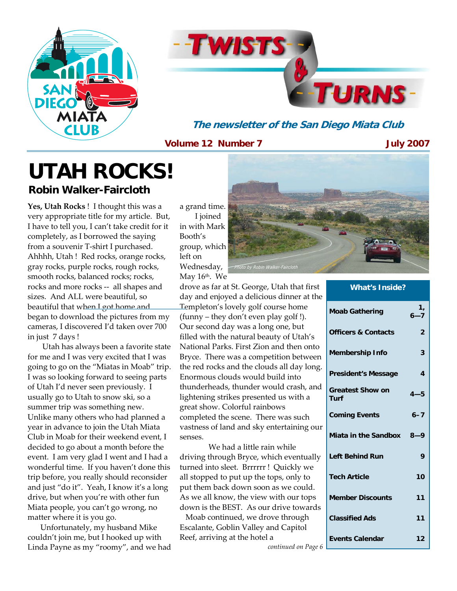



**The newsletter of the San Diego Miata Club** 

**Volume 12 Number 7** 

**July 2007** 

## **UTAH ROCKS! Robin Walker-Faircloth**

**Yes, Utah Rocks** ! I thought this was a very appropriate title for my article. But, I have to tell you, I can't take credit for it completely, as I borrowed the saying from a souvenir T-shirt I purchased. Ahhhh, Utah ! Red rocks, orange rocks, gray rocks, purple rocks, rough rocks, smooth rocks, balanced rocks; rocks, rocks and more rocks -- all shapes and sizes. And ALL were beautiful, so beautiful that when I got home and began to download the pictures from my cameras, I discovered I'd taken over 700 in just 7 days !

 Utah has always been a favorite state for me and I was very excited that I was going to go on the "Miatas in Moab" trip. I was so looking forward to seeing parts of Utah I'd never seen previously. I usually go to Utah to snow ski, so a summer trip was something new. Unlike many others who had planned a year in advance to join the Utah Miata Club in Moab for their weekend event, I decided to go about a month before the event. I am very glad I went and I had a wonderful time. If you haven't done this trip before, you really should reconsider and just "do it". Yeah, I know it's a long drive, but when you're with other fun Miata people, you can't go wrong, no matter where it is you go.

 Unfortunately, my husband Mike couldn't join me, but I hooked up with Linda Payne as my "roomy", and we had a grand time. I joined in with Mark Booth's group, which left on Wednesday, May 16th. We

drove as far at St. George, Utah that first day and enjoyed a delicious dinner at the Templeton's lovely golf course home (funny – they don't even play golf !). Our second day was a long one, but filled with the natural beauty of Utah's National Parks. First Zion and then onto Bryce. There was a competition between the red rocks and the clouds all day long. Enormous clouds would build into thunderheads, thunder would crash, and lightening strikes presented us with a great show. Colorful rainbows completed the scene. There was such vastness of land and sky entertaining our senses.

 We had a little rain while driving through Bryce, which eventually turned into sleet. Brrrrrr ! Quickly we all stopped to put up the tops, only to put them back down soon as we could. As we all know, the view with our tops down is the BEST. As our drive towards

 Moab continued, we drove through Escalante, Goblin Valley and Capitol Reef, arriving at the hotel a *continued on Page 6*



| <b>What's Inside?</b>           |                |  |  |  |  |
|---------------------------------|----------------|--|--|--|--|
| <b>Moab Gathering</b>           | 1,<br>$6 - 7$  |  |  |  |  |
| <b>Officers &amp; Contacts</b>  | $\overline{2}$ |  |  |  |  |
| <b>Membership Info</b>          | 3              |  |  |  |  |
| <b>President's Message</b>      | $\overline{4}$ |  |  |  |  |
| <b>Greatest Show on</b><br>Turf | $4 - 5$        |  |  |  |  |
| <b>Coming Events</b>            | $6 - 7$        |  |  |  |  |
| Miata in the Sandbox 8-9        |                |  |  |  |  |
| <b>Left Behind Run</b>          | 9              |  |  |  |  |
| <b>Tech Article</b>             | 10             |  |  |  |  |
| <b>Member Discounts</b>         | 11             |  |  |  |  |
| <b>Classified Ads</b>           | 11             |  |  |  |  |
| <b>Events Calendar</b>          | 12             |  |  |  |  |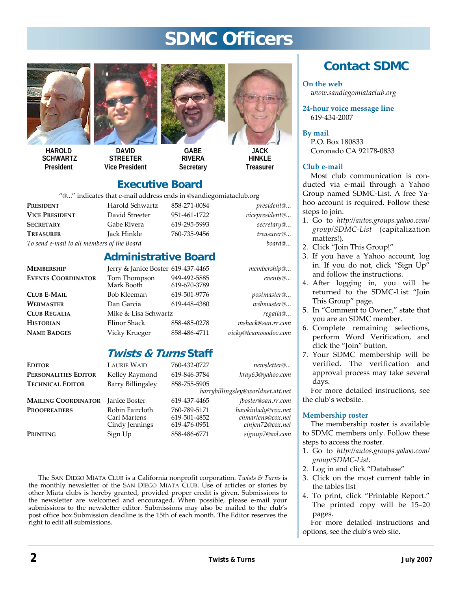## **SDMC Officers**



**HAROLD SCHWARTZ President** 



**DAVID STREETER Vice President** 



**GABE RIVERA Secretary** 



**HINKI F Treasurer** 

### **Executive Board**

"@..." indicates that e-mail address ends in @sandiegomiataclub.org

**PRESIDENT** Harold Schwartz 858-271-0084 *president@...*  **VICE PRESIDENT** David Streeter 951-461-1722 *vicepresident@...*  **SECRETARY** Gabe Rivera 619-295-5993 *secretary@...* **TREASURER** Jack Hinkle 760-735-9456 *treasurer@... To send e-mail to all members of the Board board@...*

| .<br>Ghwartz | 858-271-      |
|--------------|---------------|
| reeter       | 951-461-      |
| /era         | $619 - 295 -$ |
| kle          | 760-735-      |
|              |               |

#### **Administrative Board**

| MEMBERSHIP                | Jerry & Janice Boster 619-437-4465 |                              | membership@          |
|---------------------------|------------------------------------|------------------------------|----------------------|
| <b>EVENTS COORDINATOR</b> | Tom Thompson<br>Mark Booth         | 949-492-5885<br>619-670-3789 | events@              |
| <b>CLUB E-MAIL</b>        | Bob Kleeman                        | 619-501-9776                 | postmaster@          |
| WEBMASTER                 | Dan Garcia                         | 619-448-4380                 | webmaster@           |
| <b>CLUB REGALIA</b>       | Mike & Lisa Schwartz               |                              | regalia@             |
| <b>HISTORIAN</b>          | Elinor Shack                       | 858-485-0278                 | mshack@san.rr.com    |
| <b>NAME BADGES</b>        | Vicky Krueger                      | 858-486-4711                 | vicky@teamvoodoo.com |
|                           |                                    |                              |                      |

### **Twists & Turns Staff**

| <b>EDITOR</b>              | <b>LAURIE WAID</b>                                | 760-432-0727                                 | newsletter@                                                 |
|----------------------------|---------------------------------------------------|----------------------------------------------|-------------------------------------------------------------|
| PERSONALITIES EDITOR       | Kelley Raymond                                    | 619-846-3784                                 | kray63@yahoo.com                                            |
| <b>TECHNICAL EDITOR</b>    | Barry Billingsley                                 | 858-755-5905                                 |                                                             |
|                            |                                                   |                                              | barrybillingsley@worldnet.att.net                           |
| <b>MAILING COORDINATOR</b> | <b>Janice Boster</b>                              | 619-437-4465                                 | jboster@san.rr.com                                          |
| <b>PROOFREADERS</b>        | Robin Faircloth<br>Carl Martens<br>Cindy Jennings | 760-789-5171<br>619-501-4852<br>619-476-0951 | hawkinlady@cox.net<br>chmartens@cox.net<br>cinjen72@cox.net |
| PRINTING                   | Sign Up                                           | 858-486-6771                                 | signup7@aol.com                                             |

The SAN DIEGO MIATA CLUB is a California nonprofit corporation. *Twists & Turns* is the monthly newsletter of the SAN DIEGO MIATA CLUB. Use of articles or stories by other Miata clubs is hereby granted, provided proper credit is given. Submissions to the newsletter are welcomed and encouraged. When possible, please e-mail your submissions to the newsletter editor. Submissions may also be mailed to the club's post office box.Submission deadline is the 15th of each month. The Editor reserves the right to edit all submissions.

## **Contact SDMC**

**On the web** 

*www.sandiegomiataclub.org* 

**24-hour voice message line**  619-434-2007

**By mail**  P.O. Box 180833 Coronado CA 92178-0833

#### **Club e-mail**

Most club communication is conducted via e-mail through a Yahoo Group named SDMC-List. A free Yahoo account is required. Follow these steps to join.

- 1. Go to *http://autos.groups.yahoo.com/ group/SDMC-List* (capitalization matters!).
- 2. Click "Join This Group!"
- 3. If you have a Yahoo account, log in. If you do not, click "Sign Up" and follow the instructions.
- 4. After logging in, you will be returned to the SDMC-List "Join This Group" page.
- 5. In "Comment to Owner," state that you are an SDMC member.
- 6. Complete remaining selections, perform Word Verification, and click the "Join" button.
- 7. Your SDMC membership will be verified. The verification and approval process may take several days.

For more detailed instructions, see the club's website.

#### **Membership roster**

The membership roster is available to SDMC members only. Follow these steps to access the roster.

- 1. Go to *http://autos.groups.yahoo.com/ group/SDMC-List*.
- 2. Log in and click "Database"
- 3. Click on the most current table in the tables list
- 4. To print, click "Printable Report." The printed copy will be 15–20 pages.

For more detailed instructions and options, see the club's web site.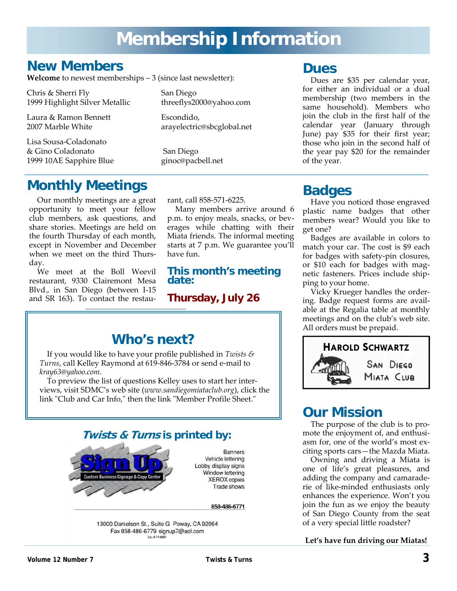## **Membership Information**

## **New Members**

**Welcome** to newest memberships – 3 (since last newsletter):

Chris & Sherri Fly San Diego 1999 Highlight Silver Metallic threeflys2000@yahoo.com

Laura & Ramon Bennett **Escondido**,

Lisa Sousa-Coladonato & Gino Coladonato San Diego<br>1999 10AE Sapphire Blue ginoc@pacbell.net 1999 10AE Sapphire Blue

## **Monthly Meetings**

Our monthly meetings are a great opportunity to meet your fellow club members, ask questions, and share stories. Meetings are held on the fourth Thursday of each month, except in November and December when we meet on the third Thursday.

We meet at the Boll Weevil restaurant, 9330 Clairemont Mesa Blvd., in San Diego (between I-15 and SR 163). To contact the restau-

2007 Marble White arayelectric@sbcglobal.net

rant, call 858-571-6225.

Many members arrive around 6 p.m. to enjoy meals, snacks, or beverages while chatting with their Miata friends. The informal meeting starts at 7 p.m. We guarantee you'll have fun.

#### **This month's meeting date:**

**Thursday, July 26** 

If you would like to have your profile published in *Twists & Turns*, call Kelley Raymond at 619-846-3784 or send e-mail to *kray63@yahoo.com*.

To preview the list of questions Kelley uses to start her interviews, visit SDMC's web site (*www.sandiegomiataclub.org*), click the link "Club and Car Info," then the link "Member Profile Sheet."



### **Dues**

Dues are \$35 per calendar year, for either an individual or a dual membership (two members in the same household). Members who join the club in the first half of the calendar year (January through June) pay \$35 for their first year; those who join in the second half of the year pay \$20 for the remainder of the year.

## **Badges**

Have you noticed those engraved plastic name badges that other members wear? Would you like to get one?

Badges are available in colors to match your car. The cost is \$9 each for badges with safety-pin closures, or \$10 each for badges with magnetic fasteners. Prices include shipping to your home.

Vicky Krueger handles the ordering. Badge request forms are available at the Regalia table at monthly meetings and on the club's web site. All orders must be prepaid.



## **Our Mission**

The purpose of the club is to promote the enjoyment of, and enthusiasm for, one of the world's most exciting sports cars—the Mazda Miata.

Owning and driving a Miata is one of life's great pleasures, and adding the company and camaraderie of like-minded enthusiasts only enhances the experience. Won't you join the fun as we enjoy the beauty of San Diego County from the seat of a very special little roadster?

#### **Let's have fun driving our Miatas!**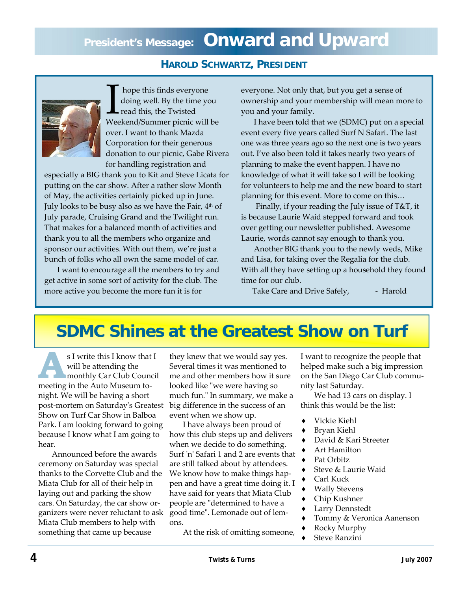#### **HAROLD SCHWARTZ, PRESIDENT**



Thope this finds everyone<br>doing well. By the time you<br>read this, the Twisted<br>Weekend/Summer picnic will be doing well. By the time you read this, the Twisted over. I want to thank Mazda Corporation for their generous donation to our picnic, Gabe Rivera for handling registration and

especially a BIG thank you to Kit and Steve Licata for putting on the car show. After a rather slow Month of May, the activities certainly picked up in June. July looks to be busy also as we have the Fair, 4<sup>th</sup> of July parade, Cruising Grand and the Twilight run. That makes for a balanced month of activities and thank you to all the members who organize and sponsor our activities. With out them, we're just a bunch of folks who all own the same model of car.

 I want to encourage all the members to try and get active in some sort of activity for the club. The more active you become the more fun it is for

everyone. Not only that, but you get a sense of ownership and your membership will mean more to you and your family.

 I have been told that we (SDMC) put on a special event every five years called Surf N Safari. The last one was three years ago so the next one is two years out. I've also been told it takes nearly two years of planning to make the event happen. I have no knowledge of what it will take so I will be looking for volunteers to help me and the new board to start planning for this event. More to come on this…

 Finally, if your reading the July issue of T&T, it is because Laurie Waid stepped forward and took over getting our newsletter published. Awesome Laurie, words cannot say enough to thank you.

 Another BIG thank you to the newly weds, Mike and Lisa, for taking over the Regalia for the club. With all they have setting up a household they found time for our club.

Take Care and Drive Safely, Farold

## **SDMC Shines at the Greatest Show on Turf**

**A Property S** I write this I know that I will be attending the monthly Car Club Council will be attending the meeting in the Auto Museum tonight. We will be having a short post-mortem on Saturday's Greatest Show on Turf Car Show in Balboa Park. I am looking forward to going because I know what I am going to hear.

 Announced before the awards ceremony on Saturday was special thanks to the Corvette Club and the Miata Club for all of their help in laying out and parking the show cars. On Saturday, the car show organizers were never reluctant to ask Miata Club members to help with something that came up because

they knew that we would say yes. Several times it was mentioned to me and other members how it sure looked like "we were having so much fun." In summary, we make a big difference in the success of an event when we show up.

 I have always been proud of how this club steps up and delivers when we decide to do something. Surf 'n' Safari 1 and 2 are events that are still talked about by attendees. We know how to make things happen and have a great time doing it. I have said for years that Miata Club people are "determined to have a good time". Lemonade out of lemons.

At the risk of omitting someone,

I want to recognize the people that helped make such a big impression on the San Diego Car Club community last Saturday.

 We had 13 cars on display. I think this would be the list:

- Vickie Kiehl
- Bryan Kiehl
- David & Kari Streeter
- Art Hamilton
- Pat Orbitz
- Steve & Laurie Waid
- Carl Kuck
- **Wally Stevens**
- Chip Kushner
- Larry Dennstedt
- Tommy & Veronica Aanenson
- Rocky Murphy
- **Steve Ranzini**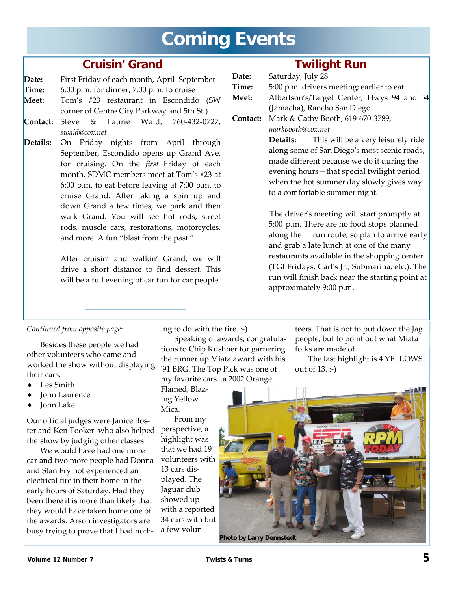## **Coming Events**

### **Cruisin' Grand**

#### **Date:** First Friday of each month, April–September

**Time:** 6:00 p.m. for dinner, 7:00 p.m. to cruise

- **Meet:** Tom's #23 restaurant in Escondido (SW corner of Centre City Parkway and 5th St.)
- **Contact:** Steve & Laurie Waid, 760-432-0727, *swaid@cox.net*
- **Details:** On Friday nights from April through September, Escondido opens up Grand Ave. for cruising. On the *first* Friday of each month, SDMC members meet at Tom's #23 at 6:00 p.m. to eat before leaving at 7:00 p.m. to cruise Grand. After taking a spin up and down Grand a few times, we park and then walk Grand. You will see hot rods, street rods, muscle cars, restorations, motorcycles, and more. A fun "blast from the past."

After cruisin' and walkin' Grand, we will drive a short distance to find dessert. This will be a full evening of car fun for car people.

### **Twilight Run**

| Date:        | Saturday, July 28                              |  |  |  |  |  |
|--------------|------------------------------------------------|--|--|--|--|--|
| <b>Time:</b> | 5:00 p.m. drivers meeting; earlier to eat      |  |  |  |  |  |
| Meet:        | Albertson's/Target Center, Hwys 94 and 54      |  |  |  |  |  |
|              | (Jamacha), Rancho San Diego                    |  |  |  |  |  |
|              | Contact: Mark & Cathy Booth, 619-670-3789,     |  |  |  |  |  |
|              | markbooth@cox.net                              |  |  |  |  |  |
|              | This will be a very leisurely ride<br>Details: |  |  |  |  |  |
|              | along some of San Diego's most scenic roads,   |  |  |  |  |  |
|              | made different because we do it during the     |  |  |  |  |  |
|              | evening hours—that special twilight period     |  |  |  |  |  |
|              | when the hot summer day slowly gives way       |  |  |  |  |  |
|              | to a comfortable summer night.                 |  |  |  |  |  |
|              |                                                |  |  |  |  |  |

The driver's meeting will start promptly at 5:00 p.m. There are no food stops planned along the run route, so plan to arrive early and grab a late lunch at one of the many restaurants available in the shopping center (TGI Fridays, Carl's Jr., Submarina, etc.). The run will finish back near the starting point at approximately 9:00 p.m.

#### *Continued from opposite page*:

 Besides these people we had other volunteers who came and worked the show without displaying their cars.

- ♦ Les Smith
- **John Laurence**
- John Lake

Our official judges were Janice Boster and Ken Tooker who also helped the show by judging other classes

 We would have had one more car and two more people had Donna and Stan Fry not experienced an electrical fire in their home in the early hours of Saturday. Had they been there it is more than likely that they would have taken home one of the awards. Arson investigators are busy trying to prove that I had noth-

ing to do with the fire. :-)

 Speaking of awards, congratulations to Chip Kushner for garnering the runner up Miata award with his '91 BRG. The Top Pick was one of my favorite cars...a 2002 Orange

Flamed, Blazing Yellow Mica.

 From my perspective, a highlight was that we had 19 volunteers with 13 cars displayed. The Jaguar club showed up with a reported 34 cars with but a few volun-

teers. That is not to put down the Jag people, but to point out what Miata folks are made of.

 The last highlight is 4 YELLOWS out of 13. :-)

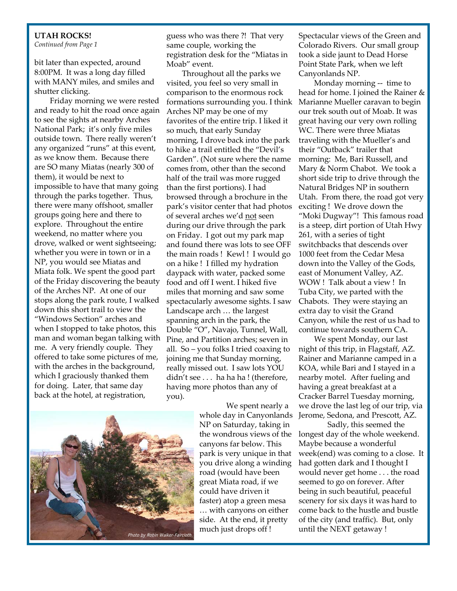#### **UTAH ROCKS!**

*Continued from Page 1* 

bit later than expected, around 8:00PM. It was a long day filled with MANY miles, and smiles and shutter clicking.

 Friday morning we were rested and ready to hit the road once again to see the sights at nearby Arches National Park; it's only five miles outside town. There really weren't any organized "runs" at this event, as we know them. Because there are SO many Miatas (nearly 300 of them), it would be next to impossible to have that many going through the parks together. Thus, there were many offshoot, smaller groups going here and there to explore. Throughout the entire weekend, no matter where you drove, walked or went sightseeing; whether you were in town or in a NP, you would see Miatas and Miata folk. We spent the good part of the Friday discovering the beauty of the Arches NP. At one of our stops along the park route, I walked down this short trail to view the "Windows Section" arches and when I stopped to take photos, this man and woman began talking with me. A very friendly couple. They offered to take some pictures of me, with the arches in the background, which I graciously thanked them for doing. Later, that same day back at the hotel, at registration,

guess who was there ?! That very same couple, working the registration desk for the "Miatas in Moab" event.

 Throughout all the parks we visited, you feel so very small in comparison to the enormous rock formations surrounding you. I think Arches NP may be one of my favorites of the entire trip. I liked it so much, that early Sunday morning, I drove back into the park to hike a trail entitled the "Devil's Garden". (Not sure where the name comes from, other than the second half of the trail was more rugged than the first portions). I had browsed through a brochure in the park's visitor center that had photos of several arches we'd not seen during our drive through the park on Friday. I got out my park map and found there was lots to see OFF the main roads ! Kewl ! I would go on a hike ! I filled my hydration daypack with water, packed some food and off I went. I hiked five miles that morning and saw some spectacularly awesome sights. I saw Landscape arch … the largest spanning arch in the park, the Double "O", Navajo, Tunnel, Wall, Pine, and Partition arches; seven in all. So – you folks I tried coaxing to joining me that Sunday morning, really missed out. I saw lots YOU didn't see . . . ha ha ha ! (therefore, having more photos than any of you).



 We spent nearly a whole day in Canyonlands NP on Saturday, taking in the wondrous views of the canyons far below. This park is very unique in that you drive along a winding road (would have been great Miata road, if we could have driven it faster) atop a green mesa … with canyons on either side. At the end, it pretty much just drops off !

Spectacular views of the Green and Colorado Rivers. Our small group took a side jaunt to Dead Horse Point State Park, when we left Canyonlands NP.

 Monday morning -- time to head for home. I joined the Rainer & Marianne Mueller caravan to begin our trek south out of Moab. It was great having our very own rolling WC. There were three Miatas traveling with the Mueller's and their "Outback" trailer that morning: Me, Bari Russell, and Mary & Norm Chabot. We took a short side trip to drive through the Natural Bridges NP in southern Utah. From there, the road got very exciting ! We drove down the "Moki Dugway"! This famous road is a steep, dirt portion of Utah Hwy 261, with a series of tight switchbacks that descends over 1000 feet from the Cedar Mesa down into the Valley of the Gods, east of Monument Valley, AZ. WOW ! Talk about a view ! In Tuba City, we parted with the Chabots. They were staying an extra day to visit the Grand Canyon, while the rest of us had to continue towards southern CA.

 We spent Monday, our last night of this trip, in Flagstaff, AZ. Rainer and Marianne camped in a KOA, while Bari and I stayed in a nearby motel. After fueling and having a great breakfast at a Cracker Barrel Tuesday morning, we drove the last leg of our trip, via Jerome, Sedona, and Prescott, AZ.

 Sadly, this seemed the longest day of the whole weekend. Maybe because a wonderful week(end) was coming to a close. It had gotten dark and I thought I would never get home . . . the road seemed to go on forever. After being in such beautiful, peaceful scenery for six days it was hard to come back to the hustle and bustle of the city (and traffic). But, only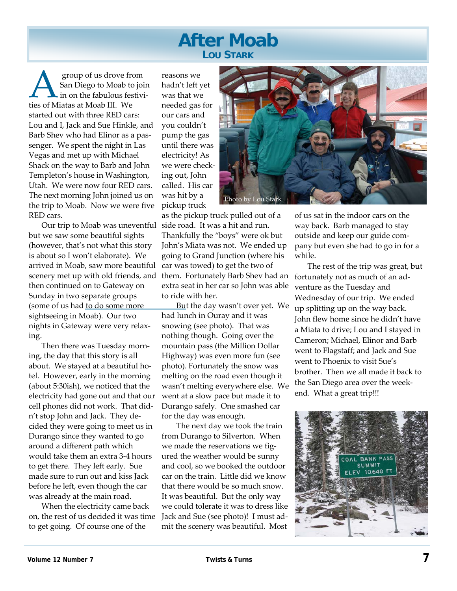## **After Moab LOU STARK**

San Diego to Moab to join<br>San Diego to Moab to join<br>ties of Miatas at Moab III. We San Diego to Moab to join in on the fabulous festivities of Miatas at Moab III. We started out with three RED cars: Lou and I, Jack and Sue Hinkle, and Barb Shev who had Elinor as a passenger. We spent the night in Las Vegas and met up with Michael Shack on the way to Barb and John Templeton's house in Washington, Utah. We were now four RED cars. The next morning John joined us on the trip to Moab. Now we were five RED cars.

 Our trip to Moab was uneventful side road. It was a hit and run. but we saw some beautiful sights (however, that's not what this story is about so I won't elaborate). We arrived in Moab, saw more beautiful scenery met up with old friends, and then continued on to Gateway on Sunday in two separate groups (some of us had to do some more sightseeing in Moab). Our two nights in Gateway were very relaxing.

 Then there was Tuesday morning, the day that this story is all about. We stayed at a beautiful hotel. However, early in the morning (about 5:30ish), we noticed that the electricity had gone out and that our cell phones did not work. That didn't stop John and Jack. They decided they were going to meet us in Durango since they wanted to go around a different path which would take them an extra 3-4 hours to get there. They left early. Sue made sure to run out and kiss Jack before he left, even though the car was already at the main road.

 When the electricity came back on, the rest of us decided it was time to get going. Of course one of the

reasons we hadn't left yet was that we needed gas for our cars and you couldn't pump the gas until there was electricity! As we were checking out, John called. His car was hit by a pickup truck



as the pickup truck pulled out of a Thankfully the "boys" were ok but John's Miata was not. We ended up going to Grand Junction (where his car was towed) to get the two of them. Fortunately Barb Shev had an extra seat in her car so John was able to ride with her.

But the day wasn't over yet. We had lunch in Ouray and it was snowing (see photo). That was nothing though. Going over the mountain pass (the Million Dollar Highway) was even more fun (see photo). Fortunately the snow was melting on the road even though it wasn't melting everywhere else. We went at a slow pace but made it to Durango safely. One smashed car for the day was enough.

 The next day we took the train from Durango to Silverton. When we made the reservations we figured the weather would be sunny and cool, so we booked the outdoor car on the train. Little did we know that there would be so much snow. It was beautiful. But the only way we could tolerate it was to dress like Jack and Sue (see photo)! I must admit the scenery was beautiful. Most

of us sat in the indoor cars on the way back. Barb managed to stay outside and keep our guide company but even she had to go in for a while.

 The rest of the trip was great, but fortunately not as much of an adventure as the Tuesday and Wednesday of our trip. We ended up splitting up on the way back. John flew home since he didn't have a Miata to drive; Lou and I stayed in Cameron; Michael, Elinor and Barb went to Flagstaff; and Jack and Sue went to Phoenix to visit Sue's brother. Then we all made it back to the San Diego area over the weekend. What a great trip!!!

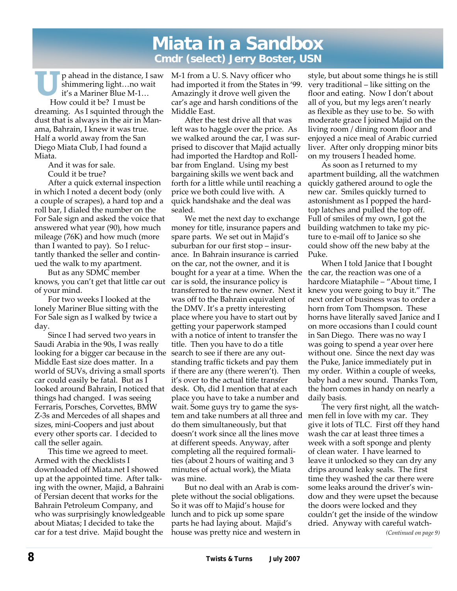## **Miata in a Sandbox Cmdr (select) Jerry Boster, USN**

**U** p ahead in the distance, I saw shimmering light…no wait it's a Mariner Blue M-1… How could it be? I must be dreaming. As I squinted through the dust that is always in the air in Manama, Bahrain, I knew it was true. Half a world away from the San Diego Miata Club, I had found a Miata.

 And it was for sale. Could it be true?

 After a quick external inspection in which I noted a decent body (only a couple of scrapes), a hard top and a roll bar, I dialed the number on the For Sale sign and asked the voice that answered what year (90), how much mileage (76K) and how much (more than I wanted to pay). So I reluctantly thanked the seller and continued the walk to my apartment.

 But as any SDMC member knows, you can't get that little car out of your mind.

 For two weeks I looked at the lonely Mariner Blue sitting with the For Sale sign as I walked by twice a day.

 Since I had served two years in Saudi Arabia in the 90s, I was really looking for a bigger car because in the Middle East size does matter. In a world of SUVs, driving a small sports car could easily be fatal. But as I looked around Bahrain, I noticed that desk. Oh, did I mention that at each things had changed. I was seeing Ferraris, Porsches, Corvettes, BMW Z-3s and Mercedes of all shapes and sizes, mini-Coopers and just about every other sports car. I decided to call the seller again.

 This time we agreed to meet. Armed with the checklists I downloaded off Miata.net I showed up at the appointed time. After talking with the owner, Majid, a Bahraini of Persian decent that works for the Bahrain Petroleum Company, and who was surprisingly knowledgeable about Miatas; I decided to take the car for a test drive. Majid bought the

M-1 from a U. S. Navy officer who had imported it from the States in '99. Amazingly it drove well given the car's age and harsh conditions of the Middle East.

 After the test drive all that was left was to haggle over the price. As we walked around the car, I was surprised to discover that Majid actually had imported the Hardtop and Rollbar from England. Using my best bargaining skills we went back and forth for a little while until reaching a price we both could live with. A quick handshake and the deal was sealed.

 We met the next day to exchange money for title, insurance papers and spare parts. We set out in Majid's suburban for our first stop – insurance. In Bahrain insurance is carried on the car, not the owner, and it is bought for a year at a time. When the the car, the reaction was one of a car is sold, the insurance policy is transferred to the new owner. Next it was off to the Bahrain equivalent of the DMV. It's a pretty interesting place where you have to start out by getting your paperwork stamped with a notice of intent to transfer the title. Then you have to do a title search to see if there are any outstanding traffic tickets and pay them if there are any (there weren't). Then it's over to the actual title transfer place you have to take a number and wait. Some guys try to game the system and take numbers at all three and men fell in love with my car. They do them simultaneously, but that doesn't work since all the lines move at different speeds. Anyway, after completing all the required formalities (about 2 hours of waiting and 3 minutes of actual work), the Miata was mine.

 But no deal with an Arab is complete without the social obligations. So it was off to Majid's house for lunch and to pick up some spare parts he had laying about. Majid's house was pretty nice and western in style, but about some things he is still very traditional – like sitting on the floor and eating. Now I don't about all of you, but my legs aren't nearly as flexible as they use to be. So with moderate grace I joined Majid on the living room / dining room floor and enjoyed a nice meal of Arabic curried liver. After only dropping minor bits on my trousers I headed home.

 As soon as I returned to my apartment building, all the watchmen quickly gathered around to ogle the new car. Smiles quickly turned to astonishment as I popped the hardtop latches and pulled the top off. Full of smiles of my own, I got the building watchmen to take my picture to e-mail off to Janice so she could show off the new baby at the Puke.

 When I told Janice that I bought hardcore Miataphile – "About time, I knew you were going to buy it." The next order of business was to order a horn from Tom Thompson. These horns have literally saved Janice and I on more occasions than I could count in San Diego. There was no way I was going to spend a year over here without one. Since the next day was the Puke, Janice immediately put in my order. Within a couple of weeks, baby had a new sound. Thanks Tom, the horn comes in handy on nearly a daily basis.

 The very first night, all the watchgive it lots of TLC. First off they hand wash the car at least three times a week with a soft sponge and plenty of clean water. I have learned to leave it unlocked so they can dry any drips around leaky seals. The first time they washed the car there were some leaks around the driver's window and they were upset the because the doors were locked and they couldn't get the inside of the window dried. Anyway with careful watch-

*(Continued on page 9)*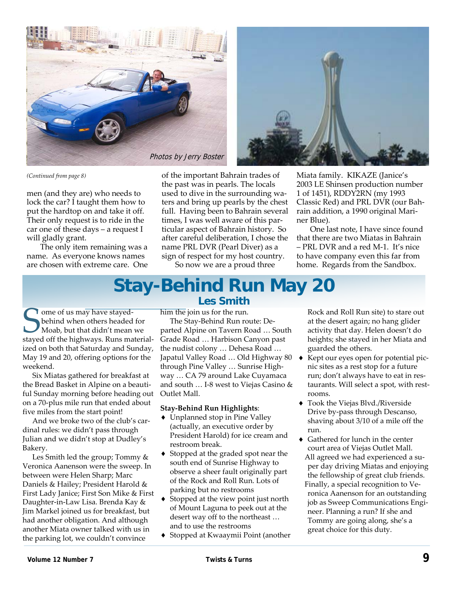



*(Continued from page 8)* 

men (and they are) who needs to lock the car? I taught them how to put the hardtop on and take it off. Their only request is to ride in the car one of these days – a request I will gladly grant.

 The only item remaining was a name. As everyone knows names are chosen with extreme care. One of the important Bahrain trades of the past was in pearls. The locals used to dive in the surrounding waters and bring up pearls by the chest full. Having been to Bahrain several times, I was well aware of this particular aspect of Bahrain history. So after careful deliberation, I chose the name PRL DVR (Pearl Diver) as a sign of respect for my host country.

So now we are a proud three

Miata family. KIKAZE (Janice's 2003 LE Shinsen production number 1 of 1451), RDDY2RN (my 1993 Classic Red) and PRL DVR (our Bahrain addition, a 1990 original Mariner Blue).

 One last note, I have since found that there are two Miatas in Bahrain – PRL DVR and a red M-1. It's nice to have company even this far from home. Regards from the Sandbox.

## **Stay-Behind Run May 20 Les Smith**

I ome of us may have stayedbehind when others headed for Moab, but that didn't mean we stayed off the highways. Runs materialized on both that Saturday and Sunday, May 19 and 20, offering options for the weekend.

 Six Miatas gathered for breakfast at the Bread Basket in Alpine on a beautiful Sunday morning before heading out on a 70-plus mile run that ended about five miles from the start point!

 And we broke two of the club's cardinal rules: we didn't pass through Julian and we didn't stop at Dudley's Bakery.

 Les Smith led the group; Tommy & Veronica Aanenson were the sweep. In between were Helen Sharp; Marc Daniels & Hailey; President Harold & First Lady Janice; First Son Mike & First Daughter-in-Law Lisa. Brenda Kay & Jim Markel joined us for breakfast, but had another obligation. And although another Miata owner talked with us in the parking lot, we couldn't convince

him the join us for the run.

 The Stay-Behind Run route: Departed Alpine on Tavern Road … South Grade Road … Harbison Canyon past the nudist colony … Dehesa Road … Japatul Valley Road … Old Highway 80 through Pine Valley … Sunrise Highway … CA 79 around Lake Cuyamaca and south … I-8 west to Viejas Casino & Outlet Mall.

#### **Stay-Behind Run Highlights**:

- ♦ Unplanned stop in Pine Valley (actually, an executive order by President Harold) for ice cream and restroom break.
- ♦ Stopped at the graded spot near the south end of Sunrise Highway to observe a sheer fault originally part of the Rock and Roll Run. Lots of parking but no restrooms
- ♦ Stopped at the view point just north of Mount Laguna to peek out at the desert way off to the northeast … and to use the restrooms
- ♦ Stopped at Kwaaymii Point (another

Rock and Roll Run site) to stare out at the desert again; no hang glider activity that day. Helen doesn't do heights; she stayed in her Miata and guarded the others.

- Kept our eyes open for potential picnic sites as a rest stop for a future run; don't always have to eat in restaurants. Will select a spot, with restrooms.
- ♦ Took the Viejas Blvd./Riverside Drive by-pass through Descanso, shaving about 3/10 of a mile off the run.
- ♦ Gathered for lunch in the center court area of Viejas Outlet Mall. All agreed we had experienced a super day driving Miatas and enjoying the fellowship of great club friends. Finally, a special recognition to Veronica Aanenson for an outstanding job as Sweep Communications Engineer. Planning a run? If she and Tommy are going along, she's a great choice for this duty.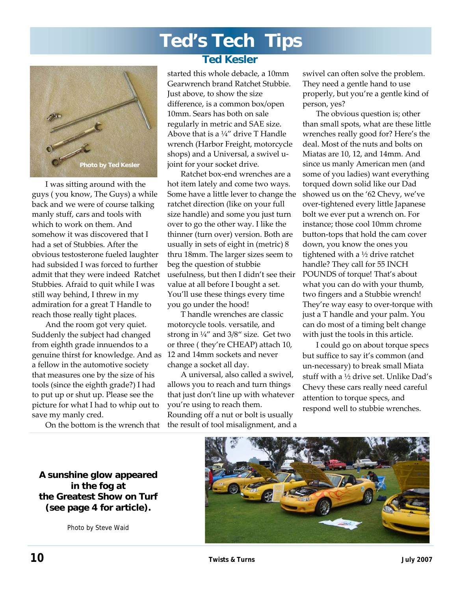# **Ted's Tech Tips**



 I was sitting around with the guys ( you know, The Guys) a while back and we were of course talking manly stuff, cars and tools with which to work on them. And somehow it was discovered that I had a set of Stubbies. After the obvious testosterone fueled laughter had subsided I was forced to further admit that they were indeed Ratchet Stubbies. Afraid to quit while I was still way behind, I threw in my admiration for a great T Handle to reach those really tight places.

 And the room got very quiet. Suddenly the subject had changed from eighth grade innuendos to a genuine thirst for knowledge. And as 12 and 14mm sockets and never a fellow in the automotive society that measures one by the size of his tools (since the eighth grade?) I had to put up or shut up. Please see the picture for what I had to whip out to save my manly cred.

On the bottom is the wrench that

**A sunshine glow appeared in the fog at the Greatest Show on Turf (see page 4 for article).** 

Photo by Steve Waid

### **Ted Kesler**

started this whole debacle, a 10mm Gearwrench brand Ratchet Stubbie. Just above, to show the size difference, is a common box/open 10mm. Sears has both on sale regularly in metric and SAE size. Above that is a  $\frac{1}{4}$ " drive T Handle wrench (Harbor Freight, motorcycle shops) and a Universal, a swivel ujoint for your socket drive.

 Ratchet box-end wrenches are a hot item lately and come two ways. Some have a little lever to change the ratchet direction (like on your full size handle) and some you just turn over to go the other way. I like the thinner (turn over) version. Both are usually in sets of eight in (metric) 8 thru 18mm. The larger sizes seem to beg the question of stubbie usefulness, but then I didn't see their value at all before I bought a set. You'll use these things every time you go under the hood!

 T handle wrenches are classic motorcycle tools. versatile, and strong in ¼" and 3/8" size. Get two or three ( they're CHEAP) attach 10, change a socket all day.

 A universal, also called a swivel, allows you to reach and turn things that just don't line up with whatever you're using to reach them. Rounding off a nut or bolt is usually the result of tool misalignment, and a swivel can often solve the problem. They need a gentle hand to use properly, but you're a gentle kind of person, yes?

 The obvious question is; other than small spots, what are these little wrenches really good for? Here's the deal. Most of the nuts and bolts on Miatas are 10, 12, and 14mm. And since us manly American men (and some of you ladies) want everything torqued down solid like our Dad showed us on the '62 Chevy, we've over-tightened every little Japanese bolt we ever put a wrench on. For instance; those cool 10mm chrome button-tops that hold the cam cover down, you know the ones you tightened with a ½ drive ratchet handle? They call for 55 INCH POUNDS of torque! That's about what you can do with your thumb, two fingers and a Stubbie wrench! They're way easy to over-torque with just a T handle and your palm. You can do most of a timing belt change with just the tools in this article.

 I could go on about torque specs but suffice to say it's common (and un-necessary) to break small Miata stuff with a ½ drive set. Unlike Dad's Chevy these cars really need careful attention to torque specs, and respond well to stubbie wrenches.

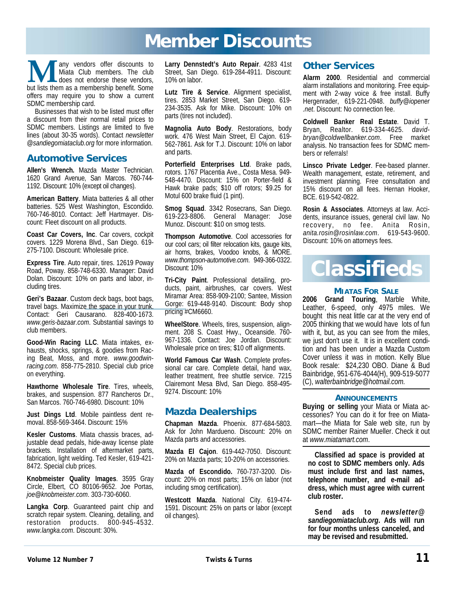## **Member Discounts**

**M** any vendors offer discounts to Miata Club members. The club does not endorse these vendors, but lists them as a membership benefit. Some Miata Club members. The club does not endorse these vendors, offers may require you to show a current SDMC membership card.

Businesses that wish to be listed must offer a discount from their normal retail prices to SDMC members. Listings are limited to five lines (about 30-35 words). Contact *newsletter @sandiegomiataclub.org* for more information.

#### **Automotive Services**

**Allen's Wrench.** Mazda Master Technician. 1620 Grand Avenue, San Marcos. 760-744- 1192. Discount: 10% (except oil changes).

**American Battery**. Miata batteries & all other batteries. 525 West Washington, Escondido. 760-746-8010. Contact: Jeff Hartmayer. Discount: Fleet discount on all products.

**Coast Car Covers, Inc**. Car covers, cockpit covers. 1229 Morena Blvd., San Diego. 619- 275-7100. Discount: Wholesale price.

**Express Tire**. Auto repair, tires. 12619 Poway Road, Poway. 858-748-6330. Manager: David Dolan. Discount: 10% on parts and labor, including tires.

**Geri's Bazaar**. Custom deck bags, boot bags, travel bags. Maximize the space in your trunk. Contact: Geri Causarano. 828-400-1673. *www.geris-bazaar.com*. Substantial savings to club members.

**Good-Win Racing LLC**. Miata intakes, exhausts, shocks, springs, & goodies from Racing Beat, Moss, and more. *www.goodwinracing.com*. 858-775-2810. Special club price on everything.

**Hawthorne Wholesale Tire**. Tires, wheels, brakes, and suspension. 877 Rancheros Dr., San Marcos. 760-746-6980. Discount: 10%

**Just Dings Ltd**. Mobile paintless dent removal. 858-569-3464. Discount: 15%

**Kesler Customs**. Miata chassis braces, adjustable dead pedals, hide-away license plate brackets. Installation of aftermarket parts, fabrication, light welding. Ted Kesler, 619-421- 8472. Special club prices.

**Knobmeister Quality Images**. 3595 Gray Circle, Elbert, CO 80106-9652. Joe Portas, *joe@knobmeister.com*. 303-730-6060.

**Langka Corp**. Guaranteed paint chip and scratch repair system. Cleaning, detailing, and restoration products. 800-945-4532. *www.langka.com*. Discount: 30%.

**Larry Dennstedt's Auto Repair**. 4283 41st Street, San Diego. 619-284-4911. Discount: 10% on labor.

**Lutz Tire & Service**. Alignment specialist, tires. 2853 Market Street, San Diego. 619- 234-3535. Ask for Mike. Discount: 10% on parts (tires not included).

**Magnolia Auto Body**. Restorations, body work. 476 West Main Street, El Cajon. 619- 562-7861. Ask for T.J. Discount: 10% on labor and parts.

**Porterfield Enterprises Ltd**. Brake pads, rotors. 1767 Placentia Ave., Costa Mesa. 949- 548-4470. Discount: 15% on Porter-field & Hawk brake pads; \$10 off rotors; \$9.25 for Motul 600 brake fluid (1 pint).

**Smog Squad**. 3342 Rosecrans, San Diego. 619-223-8806. General Manager: Jose Munoz. Discount: \$10 on smog tests.

**Thompson Automotive**. Cool accessories for our cool cars; oil filter relocation kits, gauge kits, air horns, brakes, Voodoo knobs, & MORE. *www.thompson-automotive.com*. 949-366-0322. Discount: 10%

**Tri-City Paint**. Professional detailing, products, paint, airbrushes, car covers. West Miramar Area: 858-909-2100; Santee, Mission Gorge: 619-448-9140. Discount: Body shop pricing #CM6660.

**WheelStore**. Wheels, tires, suspension, alignment. 208 S. Coast Hwy., Oceanside. 760- 967-1336. Contact: Joe Jordan. Discount: Wholesale price on tires; \$10 off alignments.

**World Famous Car Wash**. Complete professional car care. Complete detail, hand wax, leather treatment, free shuttle service. 7215 Clairemont Mesa Blvd, San Diego. 858-495- 9274. Discount: 10%

#### **Mazda Dealerships**

**Chapman Mazda**. Phoenix. 877-684-5803. Ask for John Mardueno. Discount: 20% on Mazda parts and accessories.

**Mazda El Cajon**. 619-442-7050. Discount: 20% on Mazda parts; 10-20% on accessories.

**Mazda of Escondido.** 760-737-3200. Discount: 20% on most parts; 15% on labor (not including smog certification).

**Westcott Mazda**. National City. 619-474- 1591. Discount: 25% on parts or labor (except oil changes).

#### **Other Services**

**Alarm 2000**. Residential and commercial alarm installations and monitoring. Free equipment with 2-way voice & free install. Buffy Hergenrader, 619-221-0948. *buffy@iopener .net*. Discount: No connection fee.

**Coldwell Banker Real Estate**. David T. Bryan, Realtor. 619-334-4625. *davidbryan@coldwellbanker.com*. Free market analysis. No transaction fees for SDMC members or referrals!

**Linsco Private Ledger**. Fee-based planner. Wealth management, estate, retirement, and investment planning. Free consultation and 15% discount on all fees. Hernan Hooker, BCE. 619-542-0822.

**Rosin & Associates**. Attorneys at law. Accidents, insurance issues, general civil law. No recovery, no fee. Anita Rosin, *anita.rosin@rosinlaw.com*. 619-543-9600. Discount: 10% on attorneys fees.



#### **MIATAS FOR SALE**

**2006 Grand Touring**, Marble White, Leather, 6-speed, only 4975 miles. We bought this neat little car at the very end of 2005 thinking that we would have lots of fun with it, but, as you can see from the miles, we just don't use it. It is in excellent condition and has been under a Mazda Custom Cover unless it was in motion. Kelly Blue Book resale: \$24,230 OBO. Diane & Bud Bainbridge, 951-676-4044(H), 909-519-5077 (C), *walterbainbridge@hotmail.com.*

#### **ANNOUNCEMENTS**

**Buying or selling** your Miata or Miata accessories? You can do it for free on Miatamart—the Miata for Sale web site, run by SDMC member Rainer Mueller. Check it out at *www.miatamart.com*.

**Classified ad space is provided at no cost to SDMC members only. Ads must include first and last names, telephone number, and e-mail address, which must agree with current club roster.** 

**Send ads to** *newsletter@ sandiegomiataclub.org***. Ads will run for four months unless canceled, and may be revised and resubmitted.**